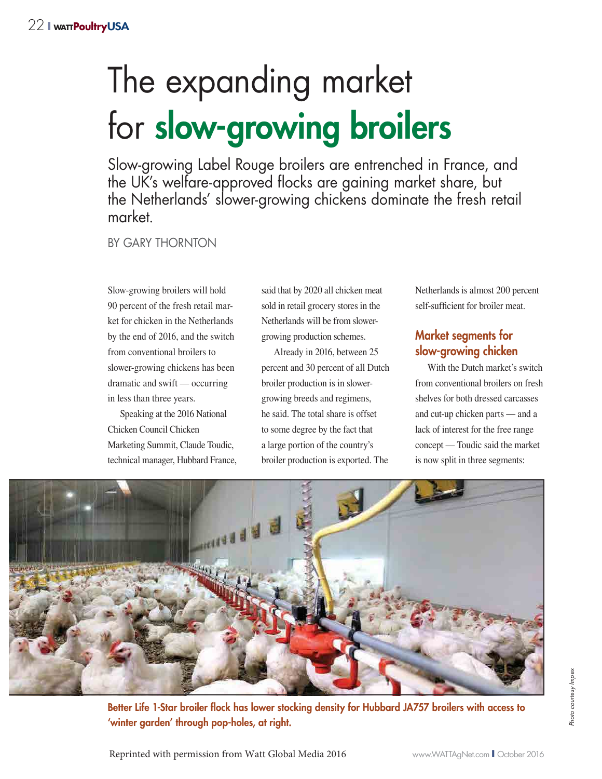# The expanding market for **slow-growing broilers**

Slow-growing Label Rouge broilers are entrenched in France, and the UK's welfare-approved flocks are gaining market share, but the Netherlands' slower-growing chickens dominate the fresh retail market.

BY GARY THORNTON

Slow-growing broilers will hold 90 percent of the fresh retail market for chicken in the Netherlands by the end of 2016, and the switch from conventional broilers to slower-growing chickens has been dramatic and swift — occurring in less than three years.

Speaking at the 2016 National Chicken Council Chicken Marketing Summit, Claude Toudic, technical manager, Hubbard France,

said that by 2020 all chicken meat sold in retail grocery stores in the Netherlands will be from slowergrowing production schemes.

Already in 2016, between 25 percent and 30 percent of all Dutch broiler production is in slowergrowing breeds and regimens, he said. The total share is offset to some degree by the fact that a large portion of the country's broiler production is exported. The

Netherlands is almost 200 percent self-sufficient for broiler meat.

# **Market segments for slow-growing chicken**

With the Dutch market's switch from conventional broilers on fresh shelves for both dressed carcasses and cut-up chicken parts — and a lack of interest for the free range concept — Toudic said the market is now split in three segments:



**Better Life 1-Star broiler flock has lower stocking density for Hubbard JA757 broilers with access to 'winter garden' through pop-holes, at right.**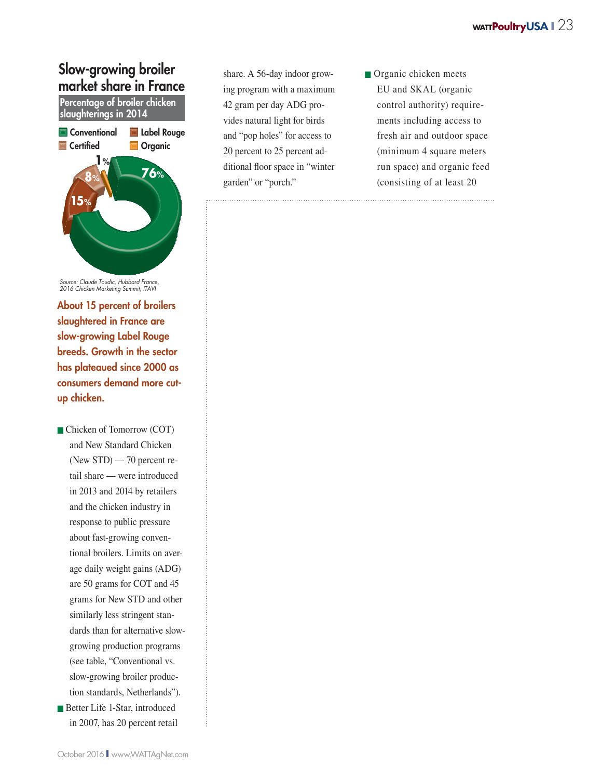# **Slow-growing broiler market share in France**



**About 15 percent of broilers slaughtered in France are slow-growing Label Rouge breeds. Growth in the sector has plateaued since 2000 as consumers demand more cutup chicken.**

■ Chicken of Tomorrow (COT) and New Standard Chicken (New STD) — 70 percent retail share — were introduced in 2013 and 2014 by retailers and the chicken industry in response to public pressure about fast-growing conventional broilers. Limits on average daily weight gains (ADG) are 50 grams for COT and 45 grams for New STD and other similarly less stringent standards than for alternative slowgrowing production programs (see table, "Conventional vs. slow-growing broiler production standards, Netherlands"). ■ Better Life 1-Star, introduced in 2007, has 20 percent retail

share. A 56-day indoor growing program with a maximum 42 gram per day ADG provides natural light for birds and "pop holes" for access to 20 percent to 25 percent additional floor space in "winter garden" or "porch."

■ Organic chicken meets EU and SKAL (organic control authority) requirements including access to fresh air and outdoor space (minimum 4 square meters run space) and organic feed (consisting of at least 20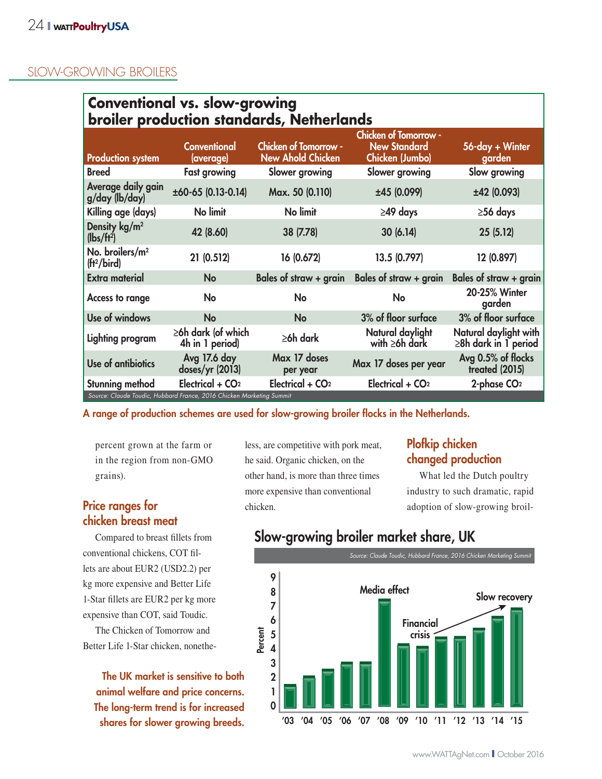## SLOW-GROWING BROILERS

| <b>Conventional vs. slow-growing</b><br>broiler production standards, Netherlands |                                             |                                                          |                                                                        |                                                      |  |  |  |
|-----------------------------------------------------------------------------------|---------------------------------------------|----------------------------------------------------------|------------------------------------------------------------------------|------------------------------------------------------|--|--|--|
| <b>Production system</b>                                                          | <b>Conventional</b><br>(average)            | <b>Chicken of Tomorrow -</b><br><b>New Ahold Chicken</b> | <b>Chicken of Tomorrow -</b><br><b>New Standard</b><br>Chicken (Jumbo) | 56-day + Winter<br>garden                            |  |  |  |
| <b>Breed</b>                                                                      | <b>Fast growing</b>                         | Slower growing                                           | Slower growing                                                         | Slow growing                                         |  |  |  |
| Average daily gain<br>g/day (lb/day)                                              | ±60-65 (0.13-0.14)                          | Max. 50 (0.110)                                          | ±45 (0.099)                                                            | ±42 (0.093)                                          |  |  |  |
| Killing age (days)                                                                | No limit                                    | No limit                                                 | $\geq$ 49 days                                                         | $\geq$ 56 days                                       |  |  |  |
| Density kg/m <sup>2</sup><br>(lbs/ft <sup>2</sup> )                               | 42 (8.60)                                   | 38 (7.78)                                                | 30(6.14)                                                               | 25(5.12)                                             |  |  |  |
| No. broilers/m <sup>2</sup><br>(ft <sup>2</sup> /bird)                            | 21 (0.512)                                  | 16 (0.672)                                               | 13.5 (0.797)                                                           | 12 (0.897)                                           |  |  |  |
| <b>Extra material</b>                                                             | <b>No</b>                                   | Bales of straw + grain                                   | Bales of straw $+$ grain                                               | Bales of straw + grain                               |  |  |  |
| <b>Access to range</b>                                                            | No                                          | No                                                       | No                                                                     | 20-25% Winter<br>garden                              |  |  |  |
| Use of windows                                                                    | <b>No</b>                                   | <b>No</b>                                                | 3% of floor surface                                                    | 3% of floor surface                                  |  |  |  |
| <b>Lighting program</b>                                                           | $\geq$ 6h dark (of which<br>4h in 1 period) | $\geq 6h$ dark                                           | Natural daylight<br>with $\geq 6h$ dark                                | Natural daylight with<br>$\geq 8$ h dark in 1 period |  |  |  |
| Use of antibiotics                                                                | Avg 17.6 day<br>doses/yr (2013)             | Max 17 doses<br>per year                                 | Max 17 doses per year                                                  | Avg 0.5% of flocks<br>treated (2015)                 |  |  |  |
| Stunning method                                                                   | Electrical + CO <sub>2</sub>                | Electrical + CO <sub>2</sub>                             | Electrical + CO <sub>2</sub>                                           | $2$ -phase $CO2$                                     |  |  |  |

**A range of production schemes are used for slow-growing broiler flocks in the Netherlands.**

percent grown at the farm or in the region from non-GMO grains).

## **Price ranges for chicken breast meat**

Compared to breast fillets from conventional chickens, COT fillets are about EUR2 (USD2.2) per kg more expensive and Better Life 1-Star fillets are EUR2 per kg more expensive than COT, said Toudic.

The Chicken of Tomorrow and Better Life 1-Star chicken, nonethe-

**The UK market is sensitive to both animal welfare and price concerns. The long-term trend is for increased shares for slower growing breeds.**

less, are competitive with pork meat, he said. Organic chicken, on the other hand, is more than three times more expensive than conventional chicken.

# **Plofkip chicken changed production**

What led the Dutch poultry industry to such dramatic, rapid adoption of slow-growing broil-

# **Slow-growing broiler market share, UK**

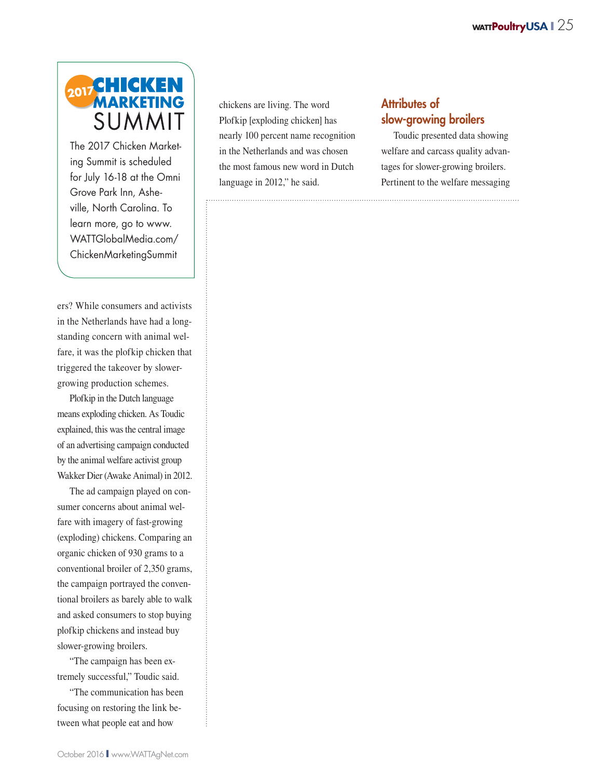

The 2017 Chicken Marketing Summit is scheduled for July 16-18 at the Omni Grove Park Inn, Asheville, North Carolina. To learn more, go to www. WATTGlobalMedia.com/ ChickenMarketingSummit

ers? While consumers and activists in the Netherlands have had a longstanding concern with animal welfare, it was the plofkip chicken that triggered the takeover by slowergrowing production schemes.

Plofkip in the Dutch language means exploding chicken. As Toudic explained, this was the central image of an advertising campaign conducted by the animal welfare activist group Wakker Dier (Awake Animal) in 2012.

The ad campaign played on consumer concerns about animal welfare with imagery of fast-growing (exploding) chickens. Comparing an organic chicken of 930 grams to a conventional broiler of 2,350 grams, the campaign portrayed the conventional broilers as barely able to walk and asked consumers to stop buying plofkip chickens and instead buy slower-growing broilers.

"The campaign has been extremely successful," Toudic said.

"The communication has been focusing on restoring the link between what people eat and how

chickens are living. The word Plofkip [exploding chicken] has nearly 100 percent name recognition in the Netherlands and was chosen the most famous new word in Dutch language in 2012," he said.

## **Attributes of slow-growing broilers**

Toudic presented data showing welfare and carcass quality advantages for slower-growing broilers. Pertinent to the welfare messaging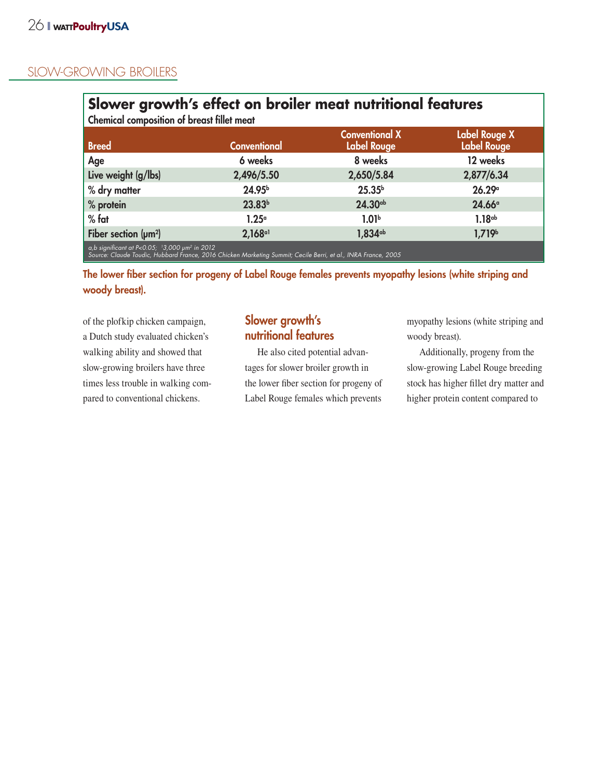## SLOW-GROWING BROILERS

| Slower growth's effect on broiler meat nutritional features<br><b>Chemical composition of breast fillet meat</b>                                                                   |                       |                                             |                                            |  |  |  |
|------------------------------------------------------------------------------------------------------------------------------------------------------------------------------------|-----------------------|---------------------------------------------|--------------------------------------------|--|--|--|
| <b>Breed</b>                                                                                                                                                                       | <b>Conventional</b>   | <b>Conventional X</b><br><b>Label Rouge</b> | <b>Label Rouge X</b><br><b>Label Rouge</b> |  |  |  |
| Age                                                                                                                                                                                | 6 weeks               | 8 weeks                                     | 12 weeks                                   |  |  |  |
| Live weight (g/lbs)                                                                                                                                                                | 2,496/5.50            | 2,650/5.84                                  | 2,877/6.34                                 |  |  |  |
| % dry matter                                                                                                                                                                       | 24.95 <sup>b</sup>    | 25.35 <sup>b</sup>                          | 26.29°                                     |  |  |  |
| % protein                                                                                                                                                                          | 23.83 <sup>b</sup>    | 24.30cb                                     | 24.66 <sup>a</sup>                         |  |  |  |
| $%$ fat                                                                                                                                                                            | 1.25 <sup>°</sup>     | 1.01 <sup>b</sup>                           | 1.18 <sub>ab</sub>                         |  |  |  |
| Fiber section $(\mu m^2)$                                                                                                                                                          | $2,168$ <sup>a1</sup> | $1,834$ <sup>ab</sup>                       | 1,719 <sup>b</sup>                         |  |  |  |
| a,b significant at $P<0.05$ ; 13,000 $\mu$ m <sup>2</sup> in 2012<br>Source: Claude Toudic, Hubbard France, 2016 Chicken Marketing Summit; Cecile Berri, et al., INRA France, 2005 |                       |                                             |                                            |  |  |  |

**The lower fiber section for progeny of Label Rouge females prevents myopathy lesions (white striping and woody breast).**

of the plofkip chicken campaign, a Dutch study evaluated chicken's walking ability and showed that slow-growing broilers have three times less trouble in walking compared to conventional chickens.

# **Slower growth's nutritional features**

He also cited potential advantages for slower broiler growth in the lower fiber section for progeny of Label Rouge females which prevents myopathy lesions (white striping and woody breast).

Additionally, progeny from the slow-growing Label Rouge breeding stock has higher fillet dry matter and higher protein content compared to